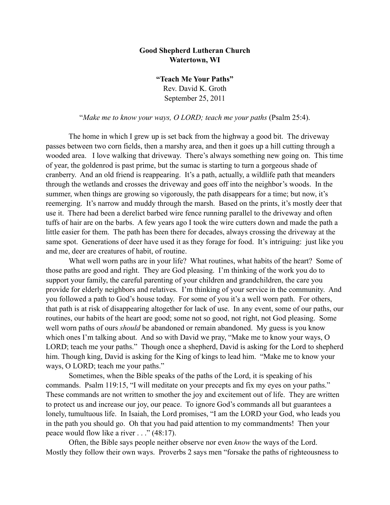## **Good Shepherd Lutheran Church Watertown, WI**

**"Teach Me Your Paths"** Rev. David K. Groth September 25, 2011

"*Make me to know your ways, O LORD; teach me your paths* (Psalm 25:4).

 The home in which I grew up is set back from the highway a good bit. The driveway passes between two corn fields, then a marshy area, and then it goes up a hill cutting through a wooded area. I love walking that driveway. There's always something new going on. This time of year, the goldenrod is past prime, but the sumac is starting to turn a gorgeous shade of cranberry. And an old friend is reappearing. It's a path, actually, a wildlife path that meanders through the wetlands and crosses the driveway and goes off into the neighbor's woods. In the summer, when things are growing so vigorously, the path disappears for a time; but now, it's reemerging. It's narrow and muddy through the marsh. Based on the prints, it's mostly deer that use it. There had been a derelict barbed wire fence running parallel to the driveway and often tuffs of hair are on the barbs. A few years ago I took the wire cutters down and made the path a little easier for them. The path has been there for decades, always crossing the driveway at the same spot. Generations of deer have used it as they forage for food. It's intriguing: just like you and me, deer are creatures of habit, of routine.

What well worn paths are in your life? What routines, what habits of the heart? Some of those paths are good and right. They are God pleasing. I'm thinking of the work you do to support your family, the careful parenting of your children and grandchildren, the care you provide for elderly neighbors and relatives. I'm thinking of your service in the community. And you followed a path to God's house today. For some of you it's a well worn path. For others, that path is at risk of disappearing altogether for lack of use. In any event, some of our paths, our routines, our habits of the heart are good; some not so good, not right, not God pleasing. Some well worn paths of ours *should* be abandoned or remain abandoned. My guess is you know which ones I'm talking about. And so with David we pray, "Make me to know your ways, O LORD; teach me your paths." Though once a shepherd, David is asking for the Lord to shepherd him. Though king, David is asking for the King of kings to lead him. "Make me to know your ways, O LORD; teach me your paths."

 Sometimes, when the Bible speaks of the paths of the Lord, it is speaking of his commands. Psalm 119:15, "I will meditate on your precepts and fix my eyes on your paths." These commands are not written to smother the joy and excitement out of life. They are written to protect us and increase our joy, our peace. To ignore God's commands all but guarantees a lonely, tumultuous life. In Isaiah, the Lord promises, "I am the LORD your God, who leads you in the path you should go. Oh that you had paid attention to my commandments! Then your peace would flow like a river . . ." (48:17).

Often, the Bible says people neither observe nor even *know* the ways of the Lord. Mostly they follow their own ways. Proverbs 2 says men "forsake the paths of righteousness to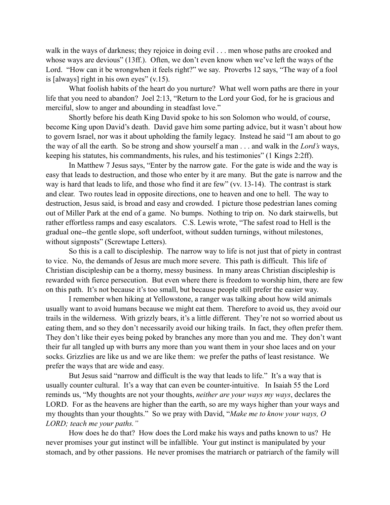walk in the ways of darkness; they rejoice in doing evil . . . men whose paths are crooked and whose ways are devious" (13ff.). Often, we don't even know when we've left the ways of the Lord. "How can it be wrongwhen it feels right?" we say. Proverbs 12 says, "The way of a fool is [always] right in his own eyes"  $(v.15)$ .

What foolish habits of the heart do you nurture? What well worn paths are there in your life that you need to abandon? Joel 2:13, "Return to the Lord your God, for he is gracious and merciful, slow to anger and abounding in steadfast love."

Shortly before his death King David spoke to his son Solomon who would, of course, become King upon David's death. David gave him some parting advice, but it wasn't about how to govern Israel, nor was it about upholding the family legacy. Instead he said "I am about to go the way of all the earth. So be strong and show yourself a man . . . and walk in the *Lord's* ways, keeping his statutes, his commandments, his rules, and his testimonies" (1 Kings 2:2ff).

 In Matthew 7 Jesus says, "Enter by the narrow gate. For the gate is wide and the way is easy that leads to destruction, and those who enter by it are many. But the gate is narrow and the way is hard that leads to life, and those who find it are few" (vv. 13-14). The contrast is stark and clear. Two routes lead in opposite directions, one to heaven and one to hell. The way to destruction, Jesus said, is broad and easy and crowded. I picture those pedestrian lanes coming out of Miller Park at the end of a game. No bumps. Nothing to trip on. No dark stairwells, but rather effortless ramps and easy escalators. C.S. Lewis wrote, "The safest road to Hell is the gradual one--the gentle slope, soft underfoot, without sudden turnings, without milestones, without signposts" (Screwtape Letters).

 So this is a call to discipleship. The narrow way to life is not just that of piety in contrast to vice. No, the demands of Jesus are much more severe. This path is difficult. This life of Christian discipleship can be a thorny, messy business. In many areas Christian discipleship is rewarded with fierce persecution. But even where there is freedom to worship him, there are few on this path. It's not because it's too small, but because people still prefer the easier way.

I remember when hiking at Yellowstone, a ranger was talking about how wild animals usually want to avoid humans because we might eat them. Therefore to avoid us, they avoid our trails in the wilderness. With grizzly bears, it's a little different. They're not so worried about us eating them, and so they don't necessarily avoid our hiking trails. In fact, they often prefer them. They don't like their eyes being poked by branches any more than you and me. They don't want their fur all tangled up with burrs any more than you want them in your shoe laces and on your socks. Grizzlies are like us and we are like them: we prefer the paths of least resistance. We prefer the ways that are wide and easy.

But Jesus said "narrow and difficult is the way that leads to life." It's a way that is usually counter cultural. It's a way that can even be counter-intuitive. In Isaiah 55 the Lord reminds us, "My thoughts are not your thoughts, *neither are your ways my ways*, declares the LORD. For as the heavens are higher than the earth, so are my ways higher than your ways and my thoughts than your thoughts." So we pray with David, "*Make me to know your ways, O LORD; teach me your paths."* 

How does he do that? How does the Lord make his ways and paths known to us? He never promises your gut instinct will be infallible. Your gut instinct is manipulated by your stomach, and by other passions. He never promises the matriarch or patriarch of the family will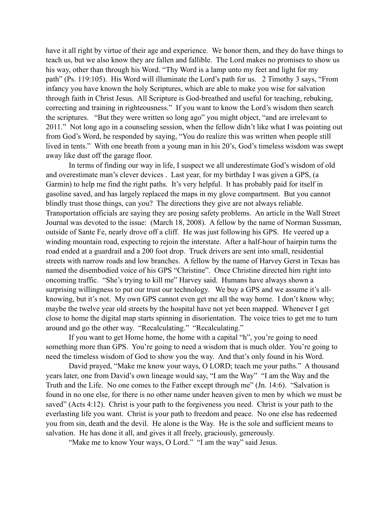have it all right by virtue of their age and experience. We honor them, and they do have things to teach us, but we also know they are fallen and fallible. The Lord makes no promises to show us his way, other than through his Word. "Thy Word is a lamp unto my feet and light for my path" (Ps. 119:105). His Word will illuminate the Lord's path for us. 2 Timothy 3 says, "From infancy you have known the holy Scriptures, which are able to make you wise for salvation through faith in Christ Jesus. All Scripture is God-breathed and useful for teaching, rebuking, correcting and training in righteousness." If you want to know the Lord's wisdom then search the scriptures. "But they were written so long ago" you might object, "and are irrelevant to 2011." Not long ago in a counseling session, when the fellow didn't like what I was pointing out from God's Word, he responded by saying, "You do realize this was written when people still lived in tents." With one breath from a young man in his 20's, God's timeless wisdom was swept away like dust off the garage floor.

In terms of finding our way in life, I suspect we all underestimate God's wisdom of old and overestimate man's clever devices . Last year, for my birthday I was given a GPS, (a Garmin) to help me find the right paths. It's very helpful. It has probably paid for itself in gasoline saved, and has largely replaced the maps in my glove compartment. But you cannot blindly trust those things, can you? The directions they give are not always reliable. Transportation officials are saying they are posing safety problems. An article in the Wall Street Journal was devoted to the issue: (March 18, 2008). A fellow by the name of Norman Sussman, outside of Sante Fe, nearly drove off a cliff. He was just following his GPS. He veered up a winding mountain road, expecting to rejoin the interstate. After a half-hour of hairpin turns the road ended at a guardrail and a 200 foot drop. Truck drivers are sent into small, residential streets with narrow roads and low branches. A fellow by the name of Harvey Gerst in Texas has named the disembodied voice of his GPS "Christine". Once Christine directed him right into oncoming traffic. "She's trying to kill me" Harvey said. Humans have always shown a surprising willingness to put our trust our technology. We buy a GPS and we assume it's allknowing, but it's not. My own GPS cannot even get me all the way home. I don't know why; maybe the twelve year old streets by the hospital have not yet been mapped. Whenever I get close to home the digital map starts spinning in disorientation. The voice tries to get me to turn around and go the other way. "Recalculating." "Recalculating."

If you want to get Home home, the home with a capital "h", you're going to need something more than GPS. You're going to need a wisdom that is much older. You're going to need the timeless wisdom of God to show you the way. And that's only found in his Word.

David prayed, "Make me know your ways, O LORD; teach me your paths." A thousand years later, one from David's own lineage would say, "I am the Way" "I am the Way and the Truth and the Life. No one comes to the Father except through me" (Jn. 14:6). "Salvation is found in no one else, for there is no other name under heaven given to men by which we must be saved" (Acts 4:12). Christ is your path to the forgiveness you need. Christ is your path to the everlasting life you want. Christ is your path to freedom and peace. No one else has redeemed you from sin, death and the devil. He alone is the Way. He is the sole and sufficient means to salvation. He has done it all, and gives it all freely, graciously, generously.

"Make me to know Your ways, O Lord." "I am the way" said Jesus.